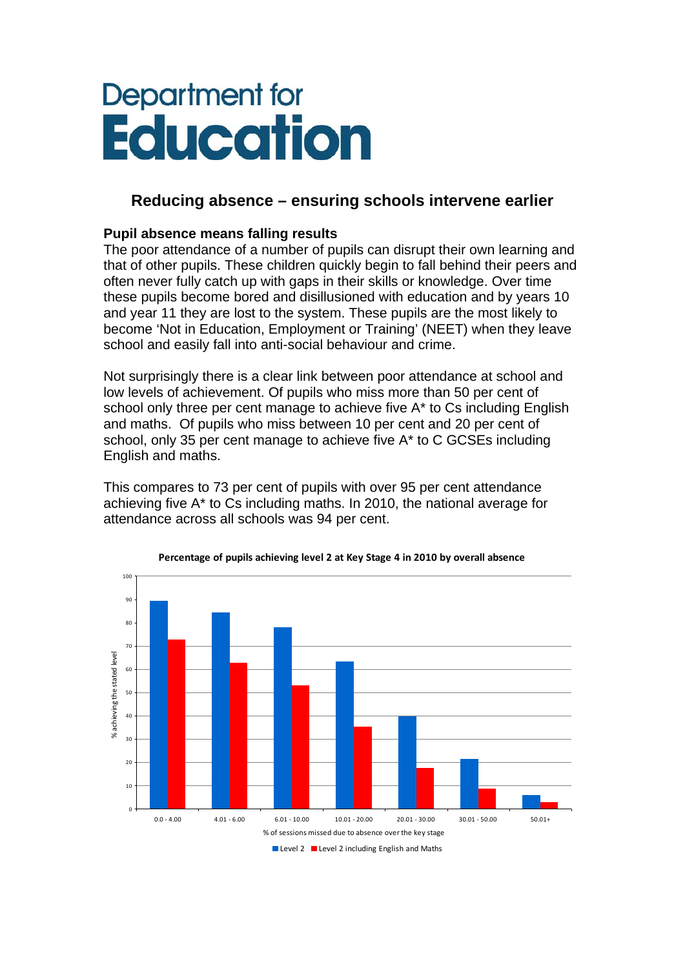# Department for **Education**

## **Reducing absence – ensuring schools intervene earlier**

### **Pupil absence means falling results**

The poor attendance of a number of pupils can disrupt their own learning and that of other pupils. These children quickly begin to fall behind their peers and often never fully catch up with gaps in their skills or knowledge. Over time these pupils become bored and disillusioned with education and by years 10 and year 11 they are lost to the system. These pupils are the most likely to become 'Not in Education, Employment or Training' (NEET) when they leave school and easily fall into anti-social behaviour and crime.

Not surprisingly there is a clear link between poor attendance at school and low levels of achievement. Of pupils who miss more than 50 per cent of school only three per cent manage to achieve five A\* to Cs including English and maths. Of pupils who miss between 10 per cent and 20 per cent of school, only 35 per cent manage to achieve five A\* to C GCSEs including English and maths.

This compares to 73 per cent of pupils with over 95 per cent attendance achieving five A\* to Cs including maths. In 2010, the national average for attendance across all schools was 94 per cent.



**Percentage of pupils achieving level 2 at Key Stage 4 in 2010 by overall absence**

Level 2 Level 2 including English and Maths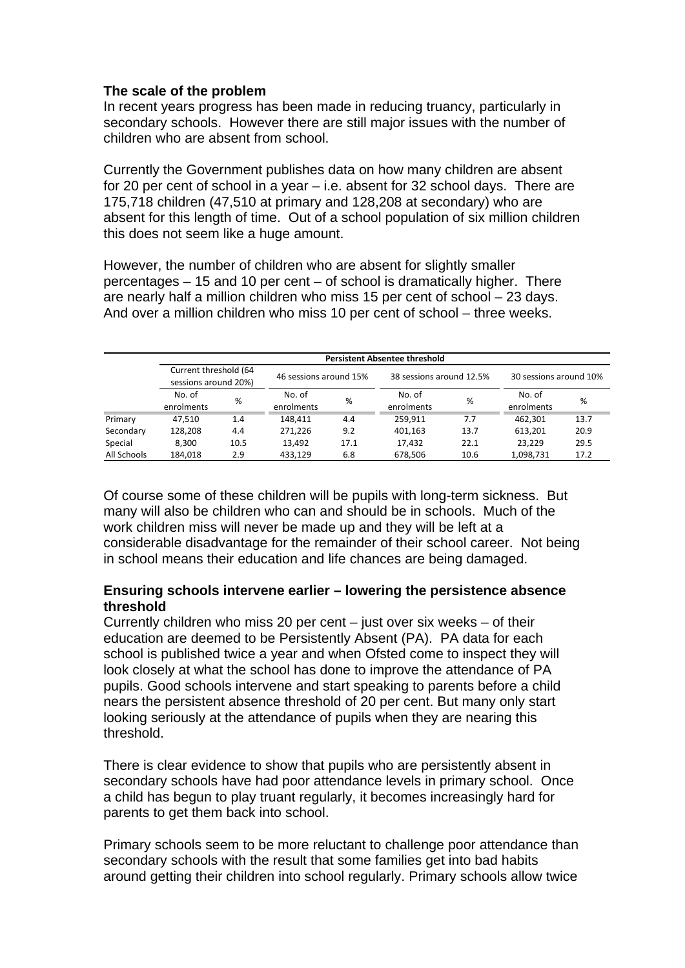#### **The scale of the problem**

In recent years progress has been made in reducing truancy, particularly in secondary schools. However there are still major issues with the number of children who are absent from school.

Currently the Government publishes data on how many children are absent for 20 per cent of school in a year – i.e. absent for 32 school days. There are 175,718 children (47,510 at primary and 128,208 at secondary) who are absent for this length of time. Out of a school population of six million children this does not seem like a huge amount.

However, the number of children who are absent for slightly smaller percentages – 15 and 10 per cent – of school is dramatically higher. There are nearly half a million children who miss 15 per cent of school – 23 days. And over a million children who miss 10 per cent of school – three weeks.

|             | <b>Persistent Absentee threshold</b>          |      |                        |      |                          |      |                        |      |
|-------------|-----------------------------------------------|------|------------------------|------|--------------------------|------|------------------------|------|
|             | Current threshold (64<br>sessions around 20%) |      | 46 sessions around 15% |      | 38 sessions around 12.5% |      | 30 sessions around 10% |      |
|             |                                               |      |                        |      |                          |      |                        |      |
|             | No. of                                        | %    | No. of                 | %    | No. of                   | %    | No. of                 | %    |
|             | enrolments                                    |      | enrolments             |      | enrolments               |      | enrolments             |      |
| Primary     | 47.510                                        | 1.4  | 148.411                | 4.4  | 259.911                  | 7.7  | 462,301                | 13.7 |
| Secondary   | 128,208                                       | 4.4  | 271,226                | 9.2  | 401,163                  | 13.7 | 613,201                | 20.9 |
| Special     | 8.300                                         | 10.5 | 13,492                 | 17.1 | 17,432                   | 22.1 | 23.229                 | 29.5 |
| All Schools | 184.018                                       | 2.9  | 433,129                | 6.8  | 678,506                  | 10.6 | 1,098,731              | 17.2 |

Of course some of these children will be pupils with long-term sickness. But many will also be children who can and should be in schools. Much of the work children miss will never be made up and they will be left at a considerable disadvantage for the remainder of their school career. Not being in school means their education and life chances are being damaged.

#### **Ensuring schools intervene earlier – lowering the persistence absence threshold**

Currently children who miss 20 per cent – just over six weeks – of their education are deemed to be Persistently Absent (PA). PA data for each school is published twice a year and when Ofsted come to inspect they will look closely at what the school has done to improve the attendance of PA pupils. Good schools intervene and start speaking to parents before a child nears the persistent absence threshold of 20 per cent. But many only start looking seriously at the attendance of pupils when they are nearing this threshold.

There is clear evidence to show that pupils who are persistently absent in secondary schools have had poor attendance levels in primary school. Once a child has begun to play truant regularly, it becomes increasingly hard for parents to get them back into school.

Primary schools seem to be more reluctant to challenge poor attendance than secondary schools with the result that some families get into bad habits around getting their children into school regularly. Primary schools allow twice